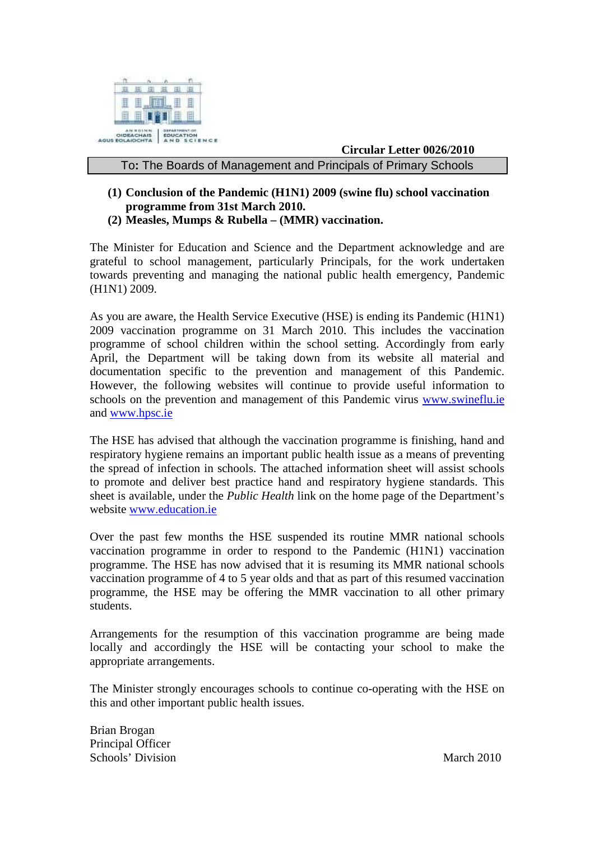

#### **Circular Letter 0026/2010**

To**:** The Boards of Management and Principals of Primary Schools

- **(1) Conclusion of the Pandemic (H1N1) 2009 (swine flu) school vaccination programme from 31st March 2010.**
- **(2) Measles, Mumps & Rubella (MMR) vaccination.**

The Minister for Education and Science and the Department acknowledge and are grateful to school management, particularly Principals, for the work undertaken towards preventing and managing the national public health emergency, Pandemic (H1N1) 2009.

As you are aware, the Health Service Executive (HSE) is ending its Pandemic (H1N1) 2009 vaccination programme on 31 March 2010. This includes the vaccination programme of school children within the school setting. Accordingly from early April, the Department will be taking down from its website all material and documentation specific to the prevention and management of this Pandemic. However, the following websites will continue to provide useful information to schools on the prevention and management of this Pandemic virus www.swineflu.ie and www.hpsc.ie

The HSE has advised that although the vaccination programme is finishing, hand and respiratory hygiene remains an important public health issue as a means of preventing the spread of infection in schools. The attached information sheet will assist schools to promote and deliver best practice hand and respiratory hygiene standards. This sheet is available, under the *Public Health* link on the home page of the Department's website www.education.ie

Over the past few months the HSE suspended its routine MMR national schools vaccination programme in order to respond to the Pandemic (H1N1) vaccination programme. The HSE has now advised that it is resuming its MMR national schools vaccination programme of 4 to 5 year olds and that as part of this resumed vaccination programme, the HSE may be offering the MMR vaccination to all other primary students.

Arrangements for the resumption of this vaccination programme are being made locally and accordingly the HSE will be contacting your school to make the appropriate arrangements.

The Minister strongly encourages schools to continue co-operating with the HSE on this and other important public health issues.

Brian Brogan Principal Officer Schools' Division March 2010